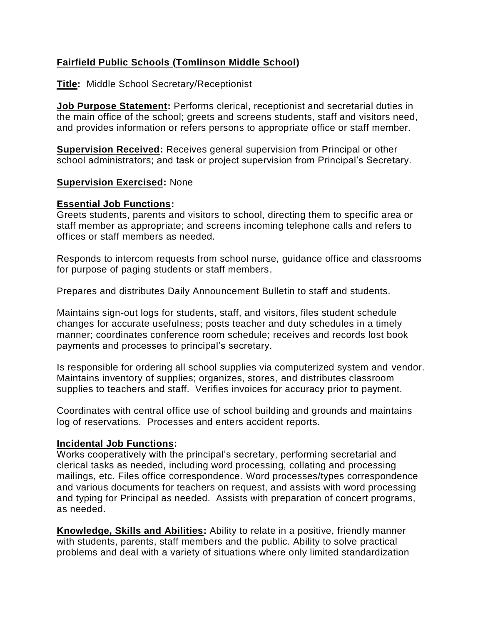# **Fairfield Public Schools (Tomlinson Middle School)**

## **Title:** Middle School Secretary/Receptionist

**Job Purpose Statement:** Performs clerical, receptionist and secretarial duties in the main office of the school; greets and screens students, staff and visitors need, and provides information or refers persons to appropriate office or staff member.

**Supervision Received:** Receives general supervision from Principal or other school administrators; and task or project supervision from Principal's Secretary.

### **Supervision Exercised:** None

#### **Essential Job Functions:**

Greets students, parents and visitors to school, directing them to specific area or staff member as appropriate; and screens incoming telephone calls and refers to offices or staff members as needed.

Responds to intercom requests from school nurse, guidance office and classrooms for purpose of paging students or staff members.

Prepares and distributes Daily Announcement Bulletin to staff and students.

Maintains sign-out logs for students, staff, and visitors, files student schedule changes for accurate usefulness; posts teacher and duty schedules in a timely manner; coordinates conference room schedule; receives and records lost book payments and processes to principal's secretary.

Is responsible for ordering all school supplies via computerized system and vendor. Maintains inventory of supplies; organizes, stores, and distributes classroom supplies to teachers and staff. Verifies invoices for accuracy prior to payment.

Coordinates with central office use of school building and grounds and maintains log of reservations. Processes and enters accident reports.

#### **Incidental Job Functions:**

Works cooperatively with the principal's secretary, performing secretarial and clerical tasks as needed, including word processing, collating and processing mailings, etc. Files office correspondence. Word processes/types correspondence and various documents for teachers on request, and assists with word processing and typing for Principal as needed. Assists with preparation of concert programs, as needed.

**Knowledge, Skills and Abilities:** Ability to relate in a positive, friendly manner with students, parents, staff members and the public. Ability to solve practical problems and deal with a variety of situations where only limited standardization